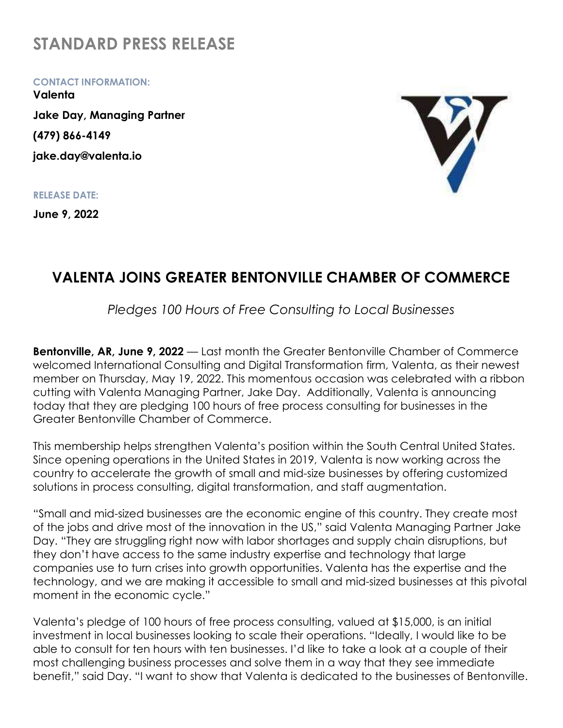## STANDARD PRESS RELEASE

CONTACT INFORMATION:

Valenta Jake Day, Managing Partner (479) 866-4149 jake.day@valenta.io

RELEASE DATE:

June 9, 2022



## VALENTA JOINS GREATER BENTONVILLE CHAMBER OF COMMERCE

Pledges 100 Hours of Free Consulting to Local Businesses

Bentonville, AR, June 9, 2022 — Last month the Greater Bentonville Chamber of Commerce welcomed International Consulting and Digital Transformation firm, Valenta, as their newest member on Thursday, May 19, 2022. This momentous occasion was celebrated with a ribbon cutting with Valenta Managing Partner, Jake Day. Additionally, Valenta is announcing today that they are pledging 100 hours of free process consulting for businesses in the Greater Bentonville Chamber of Commerce.

This membership helps strengthen Valenta's position within the South Central United States. Since opening operations in the United States in 2019, Valenta is now working across the country to accelerate the growth of small and mid-size businesses by offering customized solutions in process consulting, digital transformation, and staff augmentation.

"Small and mid-sized businesses are the economic engine of this country. They create most of the jobs and drive most of the innovation in the US," said Valenta Managing Partner Jake Day. "They are struggling right now with labor shortages and supply chain disruptions, but they don't have access to the same industry expertise and technology that large companies use to turn crises into growth opportunities. Valenta has the expertise and the technology, and we are making it accessible to small and mid-sized businesses at this pivotal moment in the economic cycle."

Valenta's pledge of 100 hours of free process consulting, valued at \$15,000, is an initial investment in local businesses looking to scale their operations. "Ideally, I would like to be able to consult for ten hours with ten businesses. I'd like to take a look at a couple of their most challenging business processes and solve them in a way that they see immediate benefit," said Day. "I want to show that Valenta is dedicated to the businesses of Bentonville.